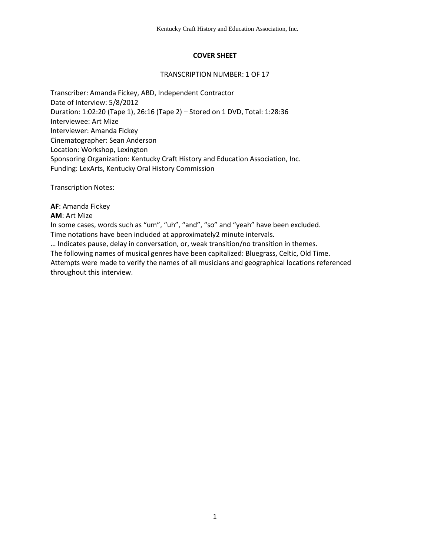## **COVER SHEET**

#### TRANSCRIPTION NUMBER: 1 OF 17

Transcriber: Amanda Fickey, ABD, Independent Contractor Date of Interview: 5/8/2012 Duration: 1:02:20 (Tape 1), 26:16 (Tape 2) – Stored on 1 DVD, Total: 1:28:36 Interviewee: Art Mize Interviewer: Amanda Fickey Cinematographer: Sean Anderson Location: Workshop, Lexington Sponsoring Organization: Kentucky Craft History and Education Association, Inc. Funding: LexArts, Kentucky Oral History Commission

Transcription Notes:

**AF**: Amanda Fickey

#### **AM**: Art Mize

In some cases, words such as "um", "uh", "and", "so" and "yeah" have been excluded. Time notations have been included at approximately2 minute intervals.

… Indicates pause, delay in conversation, or, weak transition/no transition in themes. The following names of musical genres have been capitalized: Bluegrass, Celtic, Old Time. Attempts were made to verify the names of all musicians and geographical locations referenced throughout this interview.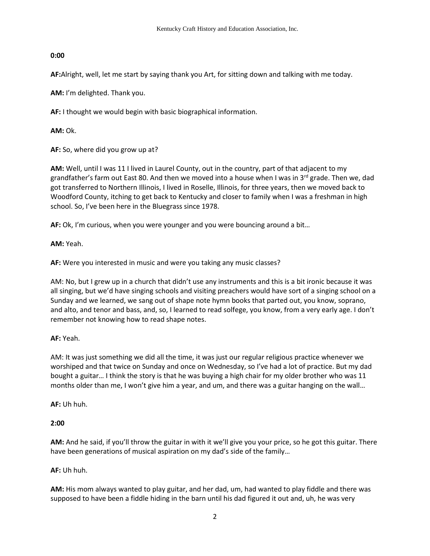## **0:00**

**AF:**Alright, well, let me start by saying thank you Art, for sitting down and talking with me today.

**AM:** I'm delighted. Thank you.

**AF:** I thought we would begin with basic biographical information.

**AM:** Ok.

**AF:** So, where did you grow up at?

**AM:** Well, until I was 11 I lived in Laurel County, out in the country, part of that adjacent to my grandfather's farm out East 80. And then we moved into a house when I was in 3<sup>rd</sup> grade. Then we, dad got transferred to Northern Illinois, I lived in Roselle, Illinois, for three years, then we moved back to Woodford County, itching to get back to Kentucky and closer to family when I was a freshman in high school. So, I've been here in the Bluegrass since 1978.

**AF:** Ok, I'm curious, when you were younger and you were bouncing around a bit…

**AM:** Yeah.

**AF:** Were you interested in music and were you taking any music classes?

AM: No, but I grew up in a church that didn't use any instruments and this is a bit ironic because it was all singing, but we'd have singing schools and visiting preachers would have sort of a singing school on a Sunday and we learned, we sang out of shape note hymn books that parted out, you know, soprano, and alto, and tenor and bass, and, so, I learned to read solfege, you know, from a very early age. I don't remember not knowing how to read shape notes.

# **AF:** Yeah.

AM: It was just something we did all the time, it was just our regular religious practice whenever we worshiped and that twice on Sunday and once on Wednesday, so I've had a lot of practice. But my dad bought a guitar… I think the story is that he was buying a high chair for my older brother who was 11 months older than me, I won't give him a year, and um, and there was a guitar hanging on the wall…

**AF:** Uh huh.

# **2:00**

**AM:** And he said, if you'll throw the guitar in with it we'll give you your price, so he got this guitar. There have been generations of musical aspiration on my dad's side of the family…

#### **AF:** Uh huh.

**AM:** His mom always wanted to play guitar, and her dad, um, had wanted to play fiddle and there was supposed to have been a fiddle hiding in the barn until his dad figured it out and, uh, he was very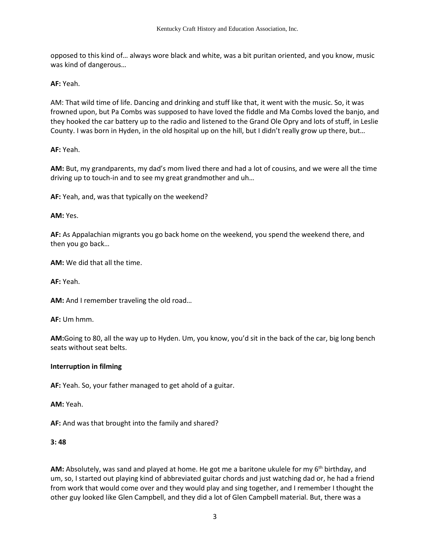opposed to this kind of… always wore black and white, was a bit puritan oriented, and you know, music was kind of dangerous…

**AF:** Yeah.

AM: That wild time of life. Dancing and drinking and stuff like that, it went with the music. So, it was frowned upon, but Pa Combs was supposed to have loved the fiddle and Ma Combs loved the banjo, and they hooked the car battery up to the radio and listened to the Grand Ole Opry and lots of stuff, in Leslie County. I was born in Hyden, in the old hospital up on the hill, but I didn't really grow up there, but…

**AF:** Yeah.

**AM:** But, my grandparents, my dad's mom lived there and had a lot of cousins, and we were all the time driving up to touch-in and to see my great grandmother and uh…

**AF:** Yeah, and, was that typically on the weekend?

**AM:** Yes.

**AF:** As Appalachian migrants you go back home on the weekend, you spend the weekend there, and then you go back…

**AM:** We did that all the time.

**AF:** Yeah.

**AM:** And I remember traveling the old road…

**AF:** Um hmm.

**AM:**Going to 80, all the way up to Hyden. Um, you know, you'd sit in the back of the car, big long bench seats without seat belts.

#### **Interruption in filming**

**AF:** Yeah. So, your father managed to get ahold of a guitar.

**AM:** Yeah.

**AF:** And was that brought into the family and shared?

#### **3: 48**

**AM:** Absolutely, was sand and played at home. He got me a baritone ukulele for my 6<sup>th</sup> birthday, and um, so, I started out playing kind of abbreviated guitar chords and just watching dad or, he had a friend from work that would come over and they would play and sing together, and I remember I thought the other guy looked like Glen Campbell, and they did a lot of Glen Campbell material. But, there was a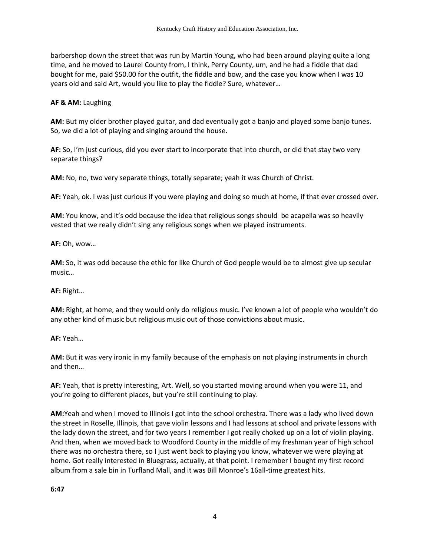barbershop down the street that was run by Martin Young, who had been around playing quite a long time, and he moved to Laurel County from, I think, Perry County, um, and he had a fiddle that dad bought for me, paid \$50.00 for the outfit, the fiddle and bow, and the case you know when I was 10 years old and said Art, would you like to play the fiddle? Sure, whatever…

#### **AF & AM:** Laughing

**AM:** But my older brother played guitar, and dad eventually got a banjo and played some banjo tunes. So, we did a lot of playing and singing around the house.

**AF:** So, I'm just curious, did you ever start to incorporate that into church, or did that stay two very separate things?

**AM:** No, no, two very separate things, totally separate; yeah it was Church of Christ.

**AF:** Yeah, ok. I was just curious if you were playing and doing so much at home, if that ever crossed over.

**AM:** You know, and it's odd because the idea that religious songs should be acapella was so heavily vested that we really didn't sing any religious songs when we played instruments.

**AF:** Oh, wow…

**AM:** So, it was odd because the ethic for like Church of God people would be to almost give up secular music…

**AF:** Right…

**AM:** Right, at home, and they would only do religious music. I've known a lot of people who wouldn't do any other kind of music but religious music out of those convictions about music.

**AF:** Yeah…

**AM:** But it was very ironic in my family because of the emphasis on not playing instruments in church and then…

**AF:** Yeah, that is pretty interesting, Art. Well, so you started moving around when you were 11, and you're going to different places, but you're still continuing to play.

**AM:**Yeah and when I moved to Illinois I got into the school orchestra. There was a lady who lived down the street in Roselle, Illinois, that gave violin lessons and I had lessons at school and private lessons with the lady down the street, and for two years I remember I got really choked up on a lot of violin playing. And then, when we moved back to Woodford County in the middle of my freshman year of high school there was no orchestra there, so I just went back to playing you know, whatever we were playing at home. Got really interested in Bluegrass, actually, at that point. I remember I bought my first record album from a sale bin in Turfland Mall, and it was Bill Monroe's 16all-time greatest hits.

**6:47**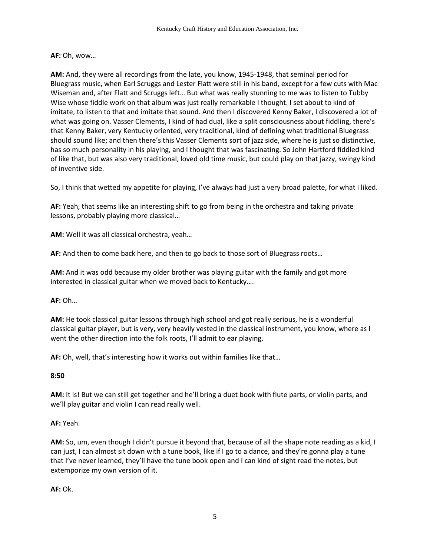#### **AF:** Oh, wow…

**AM:** And, they were all recordings from the late, you know, 1945-1948, that seminal period for Bluegrass music, when Earl Scruggs and Lester Flatt were still in his band, except for a few cuts with Mac Wiseman and, after Flatt and Scruggs left… But what was really stunning to me was to listen to Tubby Wise whose fiddle work on that album was just really remarkable I thought. I set about to kind of imitate, to listen to that and imitate that sound. And then I discovered Kenny Baker, I discovered a lot of what was going on. Vasser Clements, I kind of had dual, like a split consciousness about fiddling, there's that Kenny Baker, very Kentucky oriented, very traditional, kind of defining what traditional Bluegrass should sound like; and then there's this Vasser Clements sort of jazz side, where he is just so distinctive, has so much personality in his playing, and I thought that was fascinating. So John Hartford fiddled kind of like that, but was also very traditional, loved old time music, but could play on that jazzy, swingy kind of inventive side.

So, I think that wetted my appetite for playing, I've always had just a very broad palette, for what I liked.

**AF:** Yeah, that seems like an interesting shift to go from being in the orchestra and taking private lessons, probably playing more classical…

**AM:** Well it was all classical orchestra, yeah…

**AF:** And then to come back here, and then to go back to those sort of Bluegrass roots…

**AM:** And it was odd because my older brother was playing guitar with the family and got more interested in classical guitar when we moved back to Kentucky….

**AF:** Oh…

**AM:** He took classical guitar lessons through high school and got really serious, he is a wonderful classical guitar player, but is very, very heavily vested in the classical instrument, you know, where as I went the other direction into the folk roots, I'll admit to ear playing.

**AF:** Oh, well, that's interesting how it works out within families like that…

**8:50**

**AM:** It is! But we can still get together and he'll bring a duet book with flute parts, or violin parts, and we'll play guitar and violin I can read really well.

#### **AF:** Yeah.

**AM:** So, um, even though I didn't pursue it beyond that, because of all the shape note reading as a kid, I can just, I can almost sit down with a tune book, like if I go to a dance, and they're gonna play a tune that I've never learned, they'll have the tune book open and I can kind of sight read the notes, but extemporize my own version of it.

**AF:** Ok.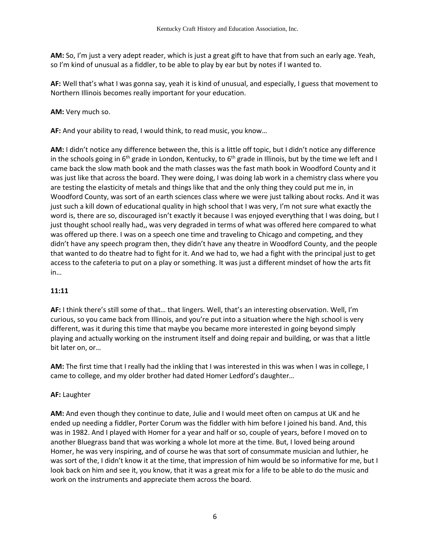**AM:** So, I'm just a very adept reader, which is just a great gift to have that from such an early age. Yeah, so I'm kind of unusual as a fiddler, to be able to play by ear but by notes if I wanted to.

**AF:** Well that's what I was gonna say, yeah it is kind of unusual, and especially, I guess that movement to Northern Illinois becomes really important for your education.

**AM:** Very much so.

**AF:** And your ability to read, I would think, to read music, you know…

**AM:** I didn't notice any difference between the, this is a little off topic, but I didn't notice any difference in the schools going in 6<sup>th</sup> grade in London, Kentucky, to 6<sup>th</sup> grade in Illinois, but by the time we left and I came back the slow math book and the math classes was the fast math book in Woodford County and it was just like that across the board. They were doing, I was doing lab work in a chemistry class where you are testing the elasticity of metals and things like that and the only thing they could put me in, in Woodford County, was sort of an earth sciences class where we were just talking about rocks. And it was just such a kill down of educational quality in high school that I was very, I'm not sure what exactly the word is, there are so, discouraged isn't exactly it because I was enjoyed everything that I was doing, but I just thought school really had,, was very degraded in terms of what was offered here compared to what was offered up there. I was on a speech one time and traveling to Chicago and competing, and they didn't have any speech program then, they didn't have any theatre in Woodford County, and the people that wanted to do theatre had to fight for it. And we had to, we had a fight with the principal just to get access to the cafeteria to put on a play or something. It was just a different mindset of how the arts fit in…

# **11:11**

**AF:** I think there's still some of that… that lingers. Well, that's an interesting observation. Well, I'm curious, so you came back from Illinois, and you're put into a situation where the high school is very different, was it during this time that maybe you became more interested in going beyond simply playing and actually working on the instrument itself and doing repair and building, or was that a little bit later on, or…

**AM:** The first time that I really had the inkling that I was interested in this was when I was in college, I came to college, and my older brother had dated Homer Ledford's daughter…

# **AF:** Laughter

**AM:** And even though they continue to date, Julie and I would meet often on campus at UK and he ended up needing a fiddler, Porter Corum was the fiddler with him before I joined his band. And, this was in 1982. And I played with Homer for a year and half or so, couple of years, before I moved on to another Bluegrass band that was working a whole lot more at the time. But, I loved being around Homer, he was very inspiring, and of course he was that sort of consummate musician and luthier, he was sort of the, I didn't know it at the time, that impression of him would be so informative for me, but I look back on him and see it, you know, that it was a great mix for a life to be able to do the music and work on the instruments and appreciate them across the board.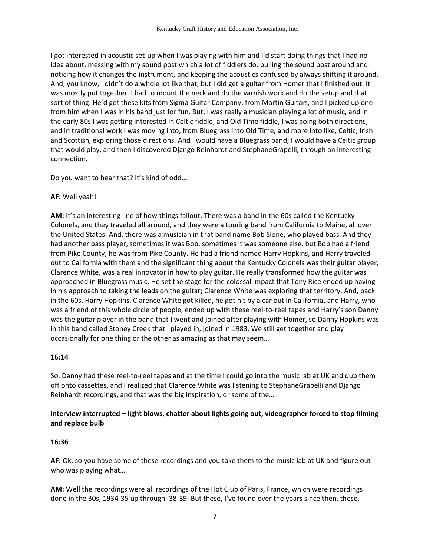I got interested in acoustic set-up when I was playing with him and I'd start doing things that I had no idea about, messing with my sound post which a lot of fiddlers do, pulling the sound post around and noticing how it changes the instrument, and keeping the acoustics confused by always shifting it around. And, you know, I didn't do a whole lot like that, but I did get a guitar from Homer that I finished out. It was mostly put together. I had to mount the neck and do the varnish work and do the setup and that sort of thing. He'd get these kits from Sigma Guitar Company, from Martin Guitars, and I picked up one from him when I was in his band just for fun. But, I was really a musician playing a lot of music, and in the early 80s I was getting interested in Celtic fiddle, and Old Time fiddle, I was going both directions, and in traditional work I was moving into, from Bluegrass into Old Time, and more into like, Celtic, Irish and Scottish, exploring those directions. And I would have a Bluegrass band; I would have a Celtic group that would play, and then I discovered Django Reinhardt and StephaneGrapelli, through an interesting connection.

Do you want to hear that? It's kind of odd….

#### **AF:** Well yeah!

**AM:** It's an interesting line of how things fallout. There was a band in the 60s called the Kentucky Colonels, and they traveled all around, and they were a touring band from California to Maine, all over the United States. And, there was a musician in that band name Bob Slone, who played bass. And they had another bass player, sometimes it was Bob, sometimes it was someone else, but Bob had a friend from Pike County, he was from Pike County. He had a friend named Harry Hopkins, and Harry traveled out to California with them and the significant thing about the Kentucky Colonels was their guitar player, Clarence White, was a real innovator in how to play guitar. He really transformed how the guitar was approached in Bluegrass music. He set the stage for the colossal impact that Tony Rice ended up having in his approach to taking the leads on the guitar; Clarence White was exploring that territory. And, back in the 60s, Harry Hopkins, Clarence White got killed, he got hit by a car out in California, and Harry, who was a friend of this whole circle of people, ended up with these reel-to-reel tapes and Harry's son Danny was the guitar player in the band that I went and joined after playing with Homer, so Danny Hopkins was in this band called Stoney Creek that I played in, joined in 1983. We still get together and play occasionally for one thing or the other as amazing as that may seem…

#### **16:14**

So, Danny had these reel-to-reel tapes and at the time I could go into the music lab at UK and dub them off onto cassettes, and I realized that Clarence White was listening to StephaneGrapelli and Django Reinhardt recordings, and that was the big inspiration, or some of the…

**Interview interrupted – light blows, chatter about lights going out, videographer forced to stop filming and replace bulb** 

#### **16:36**

**AF:** Ok, so you have some of these recordings and you take them to the music lab at UK and figure out who was playing what…

**AM:** Well the recordings were all recordings of the Hot Club of Paris, France, which were recordings done in the 30s, 1934-35 up through '38-39. But these, I've found over the years since then, these,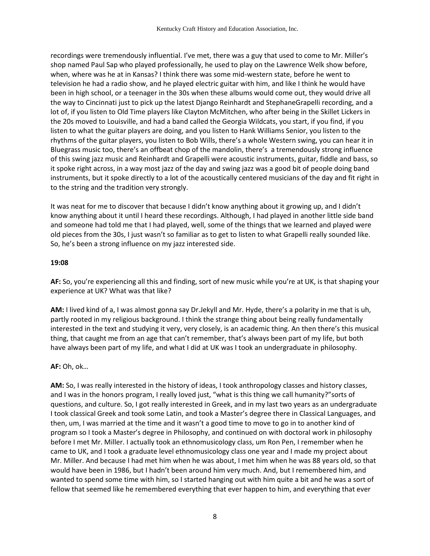recordings were tremendously influential. I've met, there was a guy that used to come to Mr. Miller's shop named Paul Sap who played professionally, he used to play on the Lawrence Welk show before, when, where was he at in Kansas? I think there was some mid-western state, before he went to television he had a radio show, and he played electric guitar with him, and like I think he would have been in high school, or a teenager in the 30s when these albums would come out, they would drive all the way to Cincinnati just to pick up the latest Django Reinhardt and StephaneGrapelli recording, and a lot of, if you listen to Old Time players like Clayton McMitchen, who after being in the Skillet Lickers in the 20s moved to Louisville, and had a band called the Georgia Wildcats, you start, if you find, if you listen to what the guitar players are doing, and you listen to Hank Williams Senior, you listen to the rhythms of the guitar players, you listen to Bob Wills, there's a whole Western swing, you can hear it in Bluegrass music too, there's an offbeat chop of the mandolin, there's a tremendously strong influence of this swing jazz music and Reinhardt and Grapelli were acoustic instruments, guitar, fiddle and bass, so it spoke right across, in a way most jazz of the day and swing jazz was a good bit of people doing band instruments, but it spoke directly to a lot of the acoustically centered musicians of the day and fit right in to the string and the tradition very strongly.

It was neat for me to discover that because I didn't know anything about it growing up, and I didn't know anything about it until I heard these recordings. Although, I had played in another little side band and someone had told me that I had played, well, some of the things that we learned and played were old pieces from the 30s, I just wasn't so familiar as to get to listen to what Grapelli really sounded like. So, he's been a strong influence on my jazz interested side.

#### **19:08**

**AF:** So, you're experiencing all this and finding, sort of new music while you're at UK, is that shaping your experience at UK? What was that like?

**AM:** I lived kind of a, I was almost gonna say Dr.Jekyll and Mr. Hyde, there's a polarity in me that is uh, partly rooted in my religious background. I think the strange thing about being really fundamentally interested in the text and studying it very, very closely, is an academic thing. An then there's this musical thing, that caught me from an age that can't remember, that's always been part of my life, but both have always been part of my life, and what I did at UK was I took an undergraduate in philosophy.

# **AF:** Oh, ok…

**AM:** So, I was really interested in the history of ideas, I took anthropology classes and history classes, and I was in the honors program, I really loved just, "what is this thing we call humanity?"sorts of questions, and culture. So, I got really interested in Greek, and in my last two years as an undergraduate I took classical Greek and took some Latin, and took a Master's degree there in Classical Languages, and then, um, I was married at the time and it wasn't a good time to move to go in to another kind of program so I took a Master's degree in Philosophy, and continued on with doctoral work in philosophy before I met Mr. Miller. I actually took an ethnomusicology class, um Ron Pen, I remember when he came to UK, and I took a graduate level ethnomusicology class one year and I made my project about Mr. Miller. And because I had met him when he was about, I met him when he was 88 years old, so that would have been in 1986, but I hadn't been around him very much. And, but I remembered him, and wanted to spend some time with him, so I started hanging out with him quite a bit and he was a sort of fellow that seemed like he remembered everything that ever happen to him, and everything that ever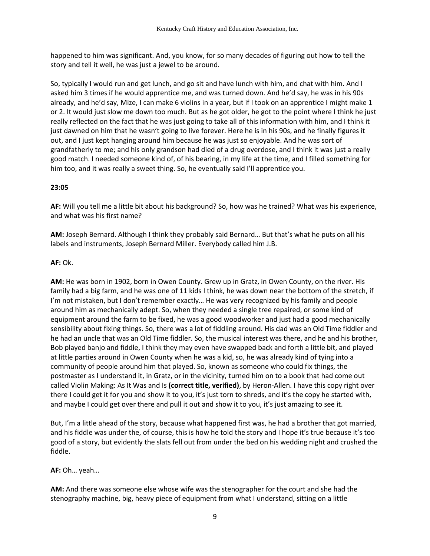happened to him was significant. And, you know, for so many decades of figuring out how to tell the story and tell it well, he was just a jewel to be around.

So, typically I would run and get lunch, and go sit and have lunch with him, and chat with him. And I asked him 3 times if he would apprentice me, and was turned down. And he'd say, he was in his 90s already, and he'd say, Mize, I can make 6 violins in a year, but if I took on an apprentice I might make 1 or 2. It would just slow me down too much. But as he got older, he got to the point where I think he just really reflected on the fact that he was just going to take all of this information with him, and I think it just dawned on him that he wasn't going to live forever. Here he is in his 90s, and he finally figures it out, and I just kept hanging around him because he was just so enjoyable. And he was sort of grandfatherly to me; and his only grandson had died of a drug overdose, and I think it was just a really good match. I needed someone kind of, of his bearing, in my life at the time, and I filled something for him too, and it was really a sweet thing. So, he eventually said I'll apprentice you.

## **23:05**

**AF:** Will you tell me a little bit about his background? So, how was he trained? What was his experience, and what was his first name?

**AM:** Joseph Bernard. Although I think they probably said Bernard… But that's what he puts on all his labels and instruments, Joseph Bernard Miller. Everybody called him J.B.

#### **AF:** Ok.

**AM:** He was born in 1902, born in Owen County. Grew up in Gratz, in Owen County, on the river. His family had a big farm, and he was one of 11 kids I think, he was down near the bottom of the stretch, if I'm not mistaken, but I don't remember exactly… He was very recognized by his family and people around him as mechanically adept. So, when they needed a single tree repaired, or some kind of equipment around the farm to be fixed, he was a good woodworker and just had a good mechanically sensibility about fixing things. So, there was a lot of fiddling around. His dad was an Old Time fiddler and he had an uncle that was an Old Time fiddler. So, the musical interest was there, and he and his brother, Bob played banjo and fiddle, I think they may even have swapped back and forth a little bit, and played at little parties around in Owen County when he was a kid, so, he was already kind of tying into a community of people around him that played. So, known as someone who could fix things, the postmaster as I understand it, in Gratz, or in the vicinity, turned him on to a book that had come out called Violin Making: As It Was and Is **(correct title, verified)**, by Heron-Allen. I have this copy right over there I could get it for you and show it to you, it's just torn to shreds, and it's the copy he started with, and maybe I could get over there and pull it out and show it to you, it's just amazing to see it.

But, I'm a little ahead of the story, because what happened first was, he had a brother that got married, and his fiddle was under the, of course, this is how he told the story and I hope it's true because it's too good of a story, but evidently the slats fell out from under the bed on his wedding night and crushed the fiddle.

#### **AF:** Oh… yeah…

**AM:** And there was someone else whose wife was the stenographer for the court and she had the stenography machine, big, heavy piece of equipment from what I understand, sitting on a little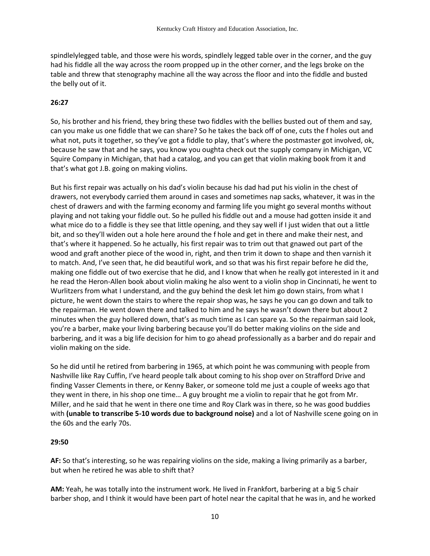spindlelylegged table, and those were his words, spindlely legged table over in the corner, and the guy had his fiddle all the way across the room propped up in the other corner, and the legs broke on the table and threw that stenography machine all the way across the floor and into the fiddle and busted the belly out of it.

#### **26:27**

So, his brother and his friend, they bring these two fiddles with the bellies busted out of them and say, can you make us one fiddle that we can share? So he takes the back off of one, cuts the f holes out and what not, puts it together, so they've got a fiddle to play, that's where the postmaster got involved, ok, because he saw that and he says, you know you oughta check out the supply company in Michigan, VC Squire Company in Michigan, that had a catalog, and you can get that violin making book from it and that's what got J.B. going on making violins.

But his first repair was actually on his dad's violin because his dad had put his violin in the chest of drawers, not everybody carried them around in cases and sometimes nap sacks, whatever, it was in the chest of drawers and with the farming economy and farming life you might go several months without playing and not taking your fiddle out. So he pulled his fiddle out and a mouse had gotten inside it and what mice do to a fiddle is they see that little opening, and they say well if I just widen that out a little bit, and so they'll widen out a hole here around the f hole and get in there and make their nest, and that's where it happened. So he actually, his first repair was to trim out that gnawed out part of the wood and graft another piece of the wood in, right, and then trim it down to shape and then varnish it to match. And, I've seen that, he did beautiful work, and so that was his first repair before he did the, making one fiddle out of two exercise that he did, and I know that when he really got interested in it and he read the Heron-Allen book about violin making he also went to a violin shop in Cincinnati, he went to Wurlitzers from what I understand, and the guy behind the desk let him go down stairs, from what I picture, he went down the stairs to where the repair shop was, he says he you can go down and talk to the repairman. He went down there and talked to him and he says he wasn't down there but about 2 minutes when the guy hollered down, that's as much time as I can spare ya. So the repairman said look, you're a barber, make your living barbering because you'll do better making violins on the side and barbering, and it was a big life decision for him to go ahead professionally as a barber and do repair and violin making on the side.

So he did until he retired from barbering in 1965, at which point he was communing with people from Nashville like Ray Cuffin, I've heard people talk about coming to his shop over on Strafford Drive and finding Vasser Clements in there, or Kenny Baker, or someone told me just a couple of weeks ago that they went in there, in his shop one time… A guy brought me a violin to repair that he got from Mr. Miller, and he said that he went in there one time and Roy Clark was in there, so he was good buddies with **(unable to transcribe 5-10 words due to background noise)** and a lot of Nashville scene going on in the 60s and the early 70s.

#### **29:50**

**AF:** So that's interesting, so he was repairing violins on the side, making a living primarily as a barber, but when he retired he was able to shift that?

**AM:** Yeah, he was totally into the instrument work. He lived in Frankfort, barbering at a big 5 chair barber shop, and I think it would have been part of hotel near the capital that he was in, and he worked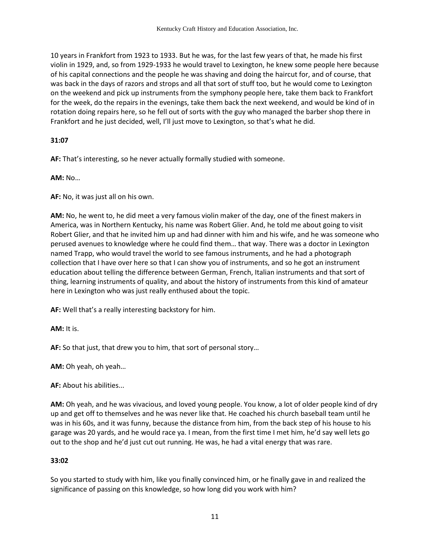10 years in Frankfort from 1923 to 1933. But he was, for the last few years of that, he made his first violin in 1929, and, so from 1929-1933 he would travel to Lexington, he knew some people here because of his capital connections and the people he was shaving and doing the haircut for, and of course, that was back in the days of razors and strops and all that sort of stuff too, but he would come to Lexington on the weekend and pick up instruments from the symphony people here, take them back to Frankfort for the week, do the repairs in the evenings, take them back the next weekend, and would be kind of in rotation doing repairs here, so he fell out of sorts with the guy who managed the barber shop there in Frankfort and he just decided, well, I'll just move to Lexington, so that's what he did.

## **31:07**

**AF:** That's interesting, so he never actually formally studied with someone.

**AM:** No…

**AF:** No, it was just all on his own.

**AM:** No, he went to, he did meet a very famous violin maker of the day, one of the finest makers in America, was in Northern Kentucky, his name was Robert Glier. And, he told me about going to visit Robert Glier, and that he invited him up and had dinner with him and his wife, and he was someone who perused avenues to knowledge where he could find them… that way. There was a doctor in Lexington named Trapp, who would travel the world to see famous instruments, and he had a photograph collection that I have over here so that I can show you of instruments, and so he got an instrument education about telling the difference between German, French, Italian instruments and that sort of thing, learning instruments of quality, and about the history of instruments from this kind of amateur here in Lexington who was just really enthused about the topic.

**AF:** Well that's a really interesting backstory for him.

**AM:** It is.

**AF:** So that just, that drew you to him, that sort of personal story…

**AM:** Oh yeah, oh yeah…

**AF:** About his abilities...

**AM:** Oh yeah, and he was vivacious, and loved young people. You know, a lot of older people kind of dry up and get off to themselves and he was never like that. He coached his church baseball team until he was in his 60s, and it was funny, because the distance from him, from the back step of his house to his garage was 20 yards, and he would race ya. I mean, from the first time I met him, he'd say well lets go out to the shop and he'd just cut out running. He was, he had a vital energy that was rare.

#### **33:02**

So you started to study with him, like you finally convinced him, or he finally gave in and realized the significance of passing on this knowledge, so how long did you work with him?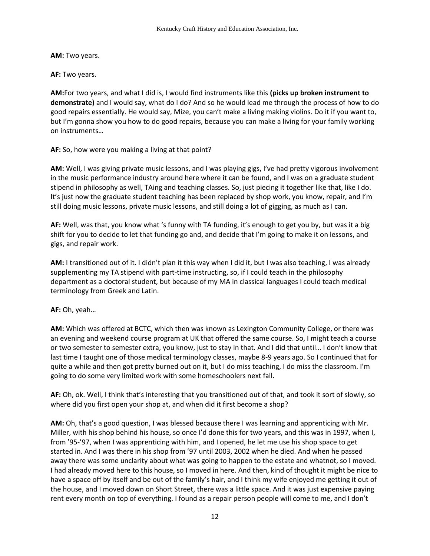**AM:** Two years.

**AF:** Two years.

**AM:**For two years, and what I did is, I would find instruments like this **(picks up broken instrument to demonstrate)** and I would say, what do I do? And so he would lead me through the process of how to do good repairs essentially. He would say, Mize, you can't make a living making violins. Do it if you want to, but I'm gonna show you how to do good repairs, because you can make a living for your family working on instruments…

**AF:** So, how were you making a living at that point?

**AM:** Well, I was giving private music lessons, and I was playing gigs, I've had pretty vigorous involvement in the music performance industry around here where it can be found, and I was on a graduate student stipend in philosophy as well, TAing and teaching classes. So, just piecing it together like that, like I do. It's just now the graduate student teaching has been replaced by shop work, you know, repair, and I'm still doing music lessons, private music lessons, and still doing a lot of gigging, as much as I can.

**AF:** Well, was that, you know what 's funny with TA funding, it's enough to get you by, but was it a big shift for you to decide to let that funding go and, and decide that I'm going to make it on lessons, and gigs, and repair work.

**AM:** I transitioned out of it. I didn't plan it this way when I did it, but I was also teaching, I was already supplementing my TA stipend with part-time instructing, so, if I could teach in the philosophy department as a doctoral student, but because of my MA in classical languages I could teach medical terminology from Greek and Latin.

**AF:** Oh, yeah…

**AM:** Which was offered at BCTC, which then was known as Lexington Community College, or there was an evening and weekend course program at UK that offered the same course. So, I might teach a course or two semester to semester extra, you know, just to stay in that. And I did that until… I don't know that last time I taught one of those medical terminology classes, maybe 8-9 years ago. So I continued that for quite a while and then got pretty burned out on it, but I do miss teaching, I do miss the classroom. I'm going to do some very limited work with some homeschoolers next fall.

**AF:** Oh, ok. Well, I think that's interesting that you transitioned out of that, and took it sort of slowly, so where did you first open your shop at, and when did it first become a shop?

**AM:** Oh, that's a good question, I was blessed because there I was learning and apprenticing with Mr. Miller, with his shop behind his house, so once I'd done this for two years, and this was in 1997, when I, from '95-'97, when I was apprenticing with him, and I opened, he let me use his shop space to get started in. And I was there in his shop from '97 until 2003, 2002 when he died. And when he passed away there was some unclarity about what was going to happen to the estate and whatnot, so I moved. I had already moved here to this house, so I moved in here. And then, kind of thought it might be nice to have a space off by itself and be out of the family's hair, and I think my wife enjoyed me getting it out of the house, and I moved down on Short Street, there was a little space. And it was just expensive paying rent every month on top of everything. I found as a repair person people will come to me, and I don't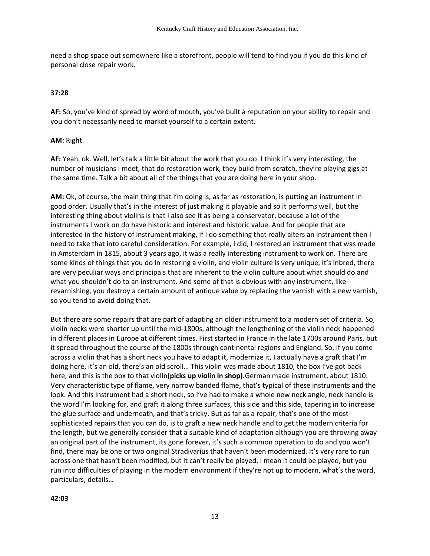need a shop space out somewhere like a storefront, people will tend to find you if you do this kind of personal close repair work.

#### **37:28**

**AF:** So, you've kind of spread by word of mouth, you've built a reputation on your ability to repair and you don't necessarily need to market yourself to a certain extent.

#### **AM:** Right.

**AF:** Yeah, ok. Well, let's talk a little bit about the work that you do. I think it's very interesting, the number of musicians I meet, that do restoration work, they build from scratch, they're playing gigs at the same time. Talk a bit about all of the things that you are doing here in your shop.

**AM:** Ok, of course, the main thing that I'm doing is, as far as restoration, is putting an instrument in good order. Usually that's in the interest of just making it playable and so it performs well, but the interesting thing about violins is that I also see it as being a conservator, because a lot of the instruments I work on do have historic and interest and historic value. And for people that are interested in the history of instrument making, if I do something that really alters an instrument then I need to take that into careful consideration. For example, I did, I restored an instrument that was made in Amsterdam in 1815, about 3 years ago, it was a really interesting instrument to work on. There are some kinds of things that you do in restoring a violin, and violin culture is very unique, it's inbred, there are very peculiar ways and principals that are inherent to the violin culture about what should do and what you shouldn't do to an instrument. And some of that is obvious with any instrument, like revarnishing, you destroy a certain amount of antique value by replacing the varnish with a new varnish, so you tend to avoid doing that.

But there are some repairs that are part of adapting an older instrument to a modern set of criteria. So, violin necks were shorter up until the mid-1800s, although the lengthening of the violin neck happened in different places in Europe at different times. First started in France in the late 1700s around Paris, but it spread throughout the course of the 1800s through continental regions and England. So, if you come across a violin that has a short neck you have to adapt it, modernize it, I actually have a graft that I'm doing here, it's an old, there's an old scroll… This violin was made about 1810, the box I've got back here, and this is the box to that violin**(picks up violin in shop).**German made instrument, about 1810. Very characteristic type of flame, very narrow banded flame, that's typical of these instruments and the look. And this instrument had a short neck, so I've had to make a whole new neck angle, neck handle is the word I'm looking for, and graft it along three surfaces, this side and this side, tapering in to increase the glue surface and underneath, and that's tricky. But as far as a repair, that's one of the most sophisticated repairs that you can do, is to graft a new neck handle and to get the modern criteria for the length, but we generally consider that a suitable kind of adaptation although you are throwing away an original part of the instrument, its gone forever, it's such a common operation to do and you won't find, there may be one or two original Stradivarius that haven't been modernized. It's very rare to run across one that hasn't been modified, but it can't really be played, I mean it could be played, but you run into difficulties of playing in the modern environment if they're not up to modern, what's the word, particulars, details…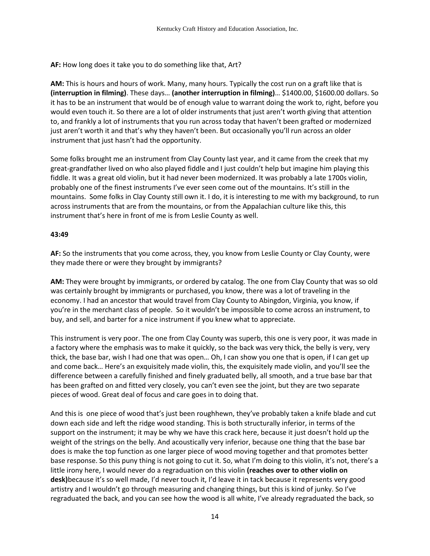**AF:** How long does it take you to do something like that, Art?

**AM:** This is hours and hours of work. Many, many hours. Typically the cost run on a graft like that is **(interruption in filming)**. These days… **(another interruption in filming)**… \$1400.00, \$1600.00 dollars. So it has to be an instrument that would be of enough value to warrant doing the work to, right, before you would even touch it. So there are a lot of older instruments that just aren't worth giving that attention to, and frankly a lot of instruments that you run across today that haven't been grafted or modernized just aren't worth it and that's why they haven't been. But occasionally you'll run across an older instrument that just hasn't had the opportunity.

Some folks brought me an instrument from Clay County last year, and it came from the creek that my great-grandfather lived on who also played fiddle and I just couldn't help but imagine him playing this fiddle. It was a great old violin, but it had never been modernized. It was probably a late 1700s violin, probably one of the finest instruments I've ever seen come out of the mountains. It's still in the mountains. Some folks in Clay County still own it. I do, it is interesting to me with my background, to run across instruments that are from the mountains, or from the Appalachian culture like this, this instrument that's here in front of me is from Leslie County as well.

#### **43:49**

**AF:** So the instruments that you come across, they, you know from Leslie County or Clay County, were they made there or were they brought by immigrants?

**AM:** They were brought by immigrants, or ordered by catalog. The one from Clay County that was so old was certainly brought by immigrants or purchased, you know, there was a lot of traveling in the economy. I had an ancestor that would travel from Clay County to Abingdon, Virginia, you know, if you're in the merchant class of people. So it wouldn't be impossible to come across an instrument, to buy, and sell, and barter for a nice instrument if you knew what to appreciate.

This instrument is very poor. The one from Clay County was superb, this one is very poor, it was made in a factory where the emphasis was to make it quickly, so the back was very thick, the belly is very, very thick, the base bar, wish I had one that was open… Oh, I can show you one that is open, if I can get up and come back… Here's an exquisitely made violin, this, the exquisitely made violin, and you'll see the difference between a carefully finished and finely graduated belly, all smooth, and a true base bar that has been grafted on and fitted very closely, you can't even see the joint, but they are two separate pieces of wood. Great deal of focus and care goes in to doing that.

And this is one piece of wood that's just been roughhewn, they've probably taken a knife blade and cut down each side and left the ridge wood standing. This is both structurally inferior, in terms of the support on the instrument; it may be why we have this crack here, because it just doesn't hold up the weight of the strings on the belly. And acoustically very inferior, because one thing that the base bar does is make the top function as one larger piece of wood moving together and that promotes better base response. So this puny thing is not going to cut it. So, what I'm doing to this violin, it's not, there's a little irony here, I would never do a regraduation on this violin **(reaches over to other violin on desk)**because it's so well made, I'd never touch it, I'd leave it in tack because it represents very good artistry and I wouldn't go through measuring and changing things, but this is kind of junky. So I've regraduated the back, and you can see how the wood is all white, I've already regraduated the back, so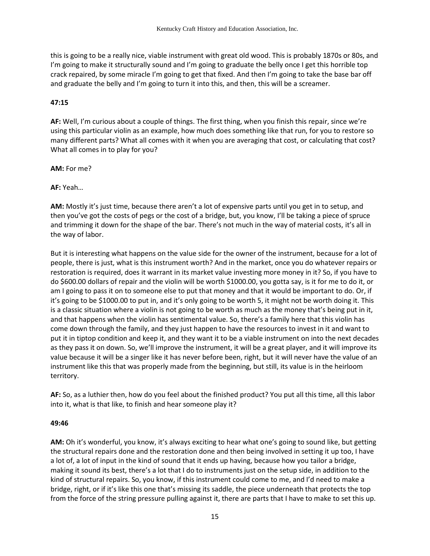this is going to be a really nice, viable instrument with great old wood. This is probably 1870s or 80s, and I'm going to make it structurally sound and I'm going to graduate the belly once I get this horrible top crack repaired, by some miracle I'm going to get that fixed. And then I'm going to take the base bar off and graduate the belly and I'm going to turn it into this, and then, this will be a screamer.

#### **47:15**

**AF:** Well, I'm curious about a couple of things. The first thing, when you finish this repair, since we're using this particular violin as an example, how much does something like that run, for you to restore so many different parts? What all comes with it when you are averaging that cost, or calculating that cost? What all comes in to play for you?

**AM:** For me?

**AF:** Yeah…

**AM:** Mostly it's just time, because there aren't a lot of expensive parts until you get in to setup, and then you've got the costs of pegs or the cost of a bridge, but, you know, I'll be taking a piece of spruce and trimming it down for the shape of the bar. There's not much in the way of material costs, it's all in the way of labor.

But it is interesting what happens on the value side for the owner of the instrument, because for a lot of people, there is just, what is this instrument worth? And in the market, once you do whatever repairs or restoration is required, does it warrant in its market value investing more money in it? So, if you have to do \$600.00 dollars of repair and the violin will be worth \$1000.00, you gotta say, is it for me to do it, or am I going to pass it on to someone else to put that money and that it would be important to do. Or, if it's going to be \$1000.00 to put in, and it's only going to be worth 5, it might not be worth doing it. This is a classic situation where a violin is not going to be worth as much as the money that's being put in it, and that happens when the violin has sentimental value. So, there's a family here that this violin has come down through the family, and they just happen to have the resources to invest in it and want to put it in tiptop condition and keep it, and they want it to be a viable instrument on into the next decades as they pass it on down. So, we'll improve the instrument, it will be a great player, and it will improve its value because it will be a singer like it has never before been, right, but it will never have the value of an instrument like this that was properly made from the beginning, but still, its value is in the heirloom territory.

**AF:** So, as a luthier then, how do you feel about the finished product? You put all this time, all this labor into it, what is that like, to finish and hear someone play it?

#### **49:46**

**AM:** Oh it's wonderful, you know, it's always exciting to hear what one's going to sound like, but getting the structural repairs done and the restoration done and then being involved in setting it up too, I have a lot of, a lot of input in the kind of sound that it ends up having, because how you tailor a bridge, making it sound its best, there's a lot that I do to instruments just on the setup side, in addition to the kind of structural repairs. So, you know, if this instrument could come to me, and I'd need to make a bridge, right, or if it's like this one that's missing its saddle, the piece underneath that protects the top from the force of the string pressure pulling against it, there are parts that I have to make to set this up.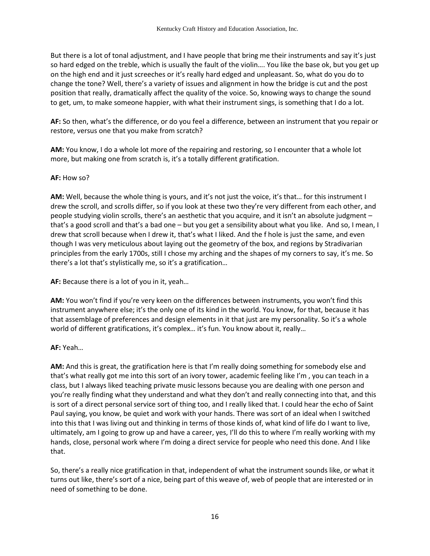But there is a lot of tonal adjustment, and I have people that bring me their instruments and say it's just so hard edged on the treble, which is usually the fault of the violin…. You like the base ok, but you get up on the high end and it just screeches or it's really hard edged and unpleasant. So, what do you do to change the tone? Well, there's a variety of issues and alignment in how the bridge is cut and the post position that really, dramatically affect the quality of the voice. So, knowing ways to change the sound to get, um, to make someone happier, with what their instrument sings, is something that I do a lot.

**AF:** So then, what's the difference, or do you feel a difference, between an instrument that you repair or restore, versus one that you make from scratch?

**AM:** You know, I do a whole lot more of the repairing and restoring, so I encounter that a whole lot more, but making one from scratch is, it's a totally different gratification.

## **AF:** How so?

**AM:** Well, because the whole thing is yours, and it's not just the voice, it's that… for this instrument I drew the scroll, and scrolls differ, so if you look at these two they're very different from each other, and people studying violin scrolls, there's an aesthetic that you acquire, and it isn't an absolute judgment – that's a good scroll and that's a bad one – but you get a sensibility about what you like. And so, I mean, I drew that scroll because when I drew it, that's what I liked. And the f hole is just the same, and even though I was very meticulous about laying out the geometry of the box, and regions by Stradivarian principles from the early 1700s, still I chose my arching and the shapes of my corners to say, it's me. So there's a lot that's stylistically me, so it's a gratification…

**AF:** Because there is a lot of you in it, yeah…

**AM:** You won't find if you're very keen on the differences between instruments, you won't find this instrument anywhere else; it's the only one of its kind in the world. You know, for that, because it has that assemblage of preferences and design elements in it that just are my personality. So it's a whole world of different gratifications, it's complex… it's fun. You know about it, really…

# **AF:** Yeah…

**AM:** And this is great, the gratification here is that I'm really doing something for somebody else and that's what really got me into this sort of an ivory tower, academic feeling like I'm , you can teach in a class, but I always liked teaching private music lessons because you are dealing with one person and you're really finding what they understand and what they don't and really connecting into that, and this is sort of a direct personal service sort of thing too, and I really liked that. I could hear the echo of Saint Paul saying, you know, be quiet and work with your hands. There was sort of an ideal when I switched into this that I was living out and thinking in terms of those kinds of, what kind of life do I want to live, ultimately, am I going to grow up and have a career, yes, I'll do this to where I'm really working with my hands, close, personal work where I'm doing a direct service for people who need this done. And I like that.

So, there's a really nice gratification in that, independent of what the instrument sounds like, or what it turns out like, there's sort of a nice, being part of this weave of, web of people that are interested or in need of something to be done.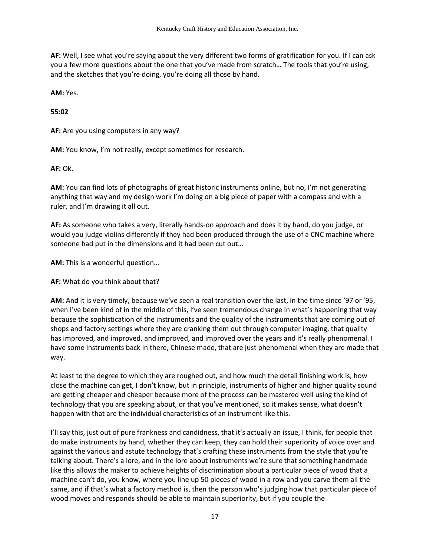**AF:** Well, I see what you're saying about the very different two forms of gratification for you. If I can ask you a few more questions about the one that you've made from scratch… The tools that you're using, and the sketches that you're doing, you're doing all those by hand.

**AM:** Yes.

**55:02**

**AF:** Are you using computers in any way?

**AM:** You know, I'm not really, except sometimes for research.

**AF:** Ok.

**AM:** You can find lots of photographs of great historic instruments online, but no, I'm not generating anything that way and my design work I'm doing on a big piece of paper with a compass and with a ruler, and I'm drawing it all out.

**AF:** As someone who takes a very, literally hands-on approach and does it by hand, do you judge, or would you judge violins differently if they had been produced through the use of a CNC machine where someone had put in the dimensions and it had been cut out…

**AM:** This is a wonderful question…

**AF:** What do you think about that?

**AM:** And it is very timely, because we've seen a real transition over the last, in the time since '97 or '95, when I've been kind of in the middle of this, I've seen tremendous change in what's happening that way because the sophistication of the instruments and the quality of the instruments that are coming out of shops and factory settings where they are cranking them out through computer imaging, that quality has improved, and improved, and improved, and improved over the years and it's really phenomenal. I have some instruments back in there, Chinese made, that are just phenomenal when they are made that way.

At least to the degree to which they are roughed out, and how much the detail finishing work is, how close the machine can get, I don't know, but in principle, instruments of higher and higher quality sound are getting cheaper and cheaper because more of the process can be mastered well using the kind of technology that you are speaking about, or that you've mentioned, so it makes sense, what doesn't happen with that are the individual characteristics of an instrument like this.

I'll say this, just out of pure frankness and candidness, that it's actually an issue, I think, for people that do make instruments by hand, whether they can keep, they can hold their superiority of voice over and against the various and astute technology that's crafting these instruments from the style that you're talking about. There's a lore, and in the lore about instruments we're sure that something handmade like this allows the maker to achieve heights of discrimination about a particular piece of wood that a machine can't do, you know, where you line up 50 pieces of wood in a row and you carve them all the same, and if that's what a factory method is, then the person who's judging how that particular piece of wood moves and responds should be able to maintain superiority, but if you couple the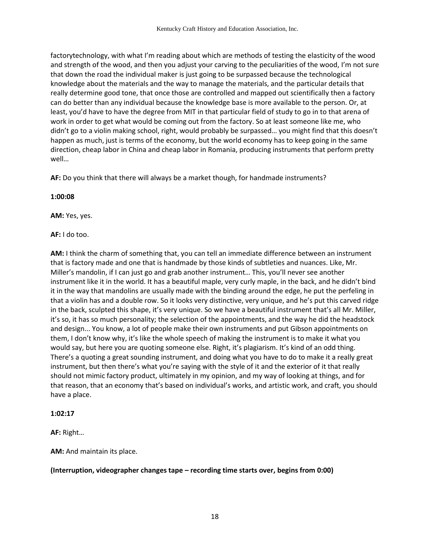factorytechnology, with what I'm reading about which are methods of testing the elasticity of the wood and strength of the wood, and then you adjust your carving to the peculiarities of the wood, I'm not sure that down the road the individual maker is just going to be surpassed because the technological knowledge about the materials and the way to manage the materials, and the particular details that really determine good tone, that once those are controlled and mapped out scientifically then a factory can do better than any individual because the knowledge base is more available to the person. Or, at least, you'd have to have the degree from MIT in that particular field of study to go in to that arena of work in order to get what would be coming out from the factory. So at least someone like me, who didn't go to a violin making school, right, would probably be surpassed… you might find that this doesn't happen as much, just is terms of the economy, but the world economy has to keep going in the same direction, cheap labor in China and cheap labor in Romania, producing instruments that perform pretty well…

**AF:** Do you think that there will always be a market though, for handmade instruments?

#### **1:00:08**

**AM:** Yes, yes.

**AF:** I do too.

**AM:** I think the charm of something that, you can tell an immediate difference between an instrument that is factory made and one that is handmade by those kinds of subtleties and nuances. Like, Mr. Miller's mandolin, if I can just go and grab another instrument… This, you'll never see another instrument like it in the world. It has a beautiful maple, very curly maple, in the back, and he didn't bind it in the way that mandolins are usually made with the binding around the edge, he put the perfeling in that a violin has and a double row. So it looks very distinctive, very unique, and he's put this carved ridge in the back, sculpted this shape, it's very unique. So we have a beautiful instrument that's all Mr. Miller, it's so, it has so much personality; the selection of the appointments, and the way he did the headstock and design... You know, a lot of people make their own instruments and put Gibson appointments on them, I don't know why, it's like the whole speech of making the instrument is to make it what you would say, but here you are quoting someone else. Right, it's plagiarism. It's kind of an odd thing. There's a quoting a great sounding instrument, and doing what you have to do to make it a really great instrument, but then there's what you're saying with the style of it and the exterior of it that really should not mimic factory product, ultimately in my opinion, and my way of looking at things, and for that reason, that an economy that's based on individual's works, and artistic work, and craft, you should have a place.

#### **1:02:17**

**AF:** Right…

**AM:** And maintain its place.

#### **(Interruption, videographer changes tape – recording time starts over, begins from 0:00)**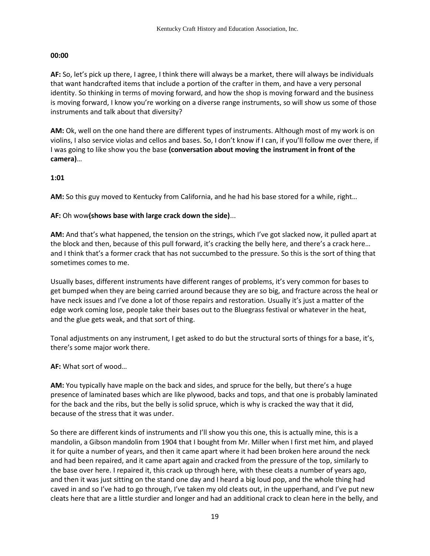#### **00:00**

**AF:** So, let's pick up there, I agree, I think there will always be a market, there will always be individuals that want handcrafted items that include a portion of the crafter in them, and have a very personal identity. So thinking in terms of moving forward, and how the shop is moving forward and the business is moving forward, I know you're working on a diverse range instruments, so will show us some of those instruments and talk about that diversity?

AM: Ok, well on the one hand there are different types of instruments. Although most of my work is on violins, I also service violas and cellos and bases. So, I don't know if I can, if you'll follow me over there, if I was going to like show you the base **(conversation about moving the instrument in front of the camera)**…

## **1:01**

**AM:** So this guy moved to Kentucky from California, and he had his base stored for a while, right…

## **AF:** Oh wow**(shows base with large crack down the side)**...

**AM:** And that's what happened, the tension on the strings, which I've got slacked now, it pulled apart at the block and then, because of this pull forward, it's cracking the belly here, and there's a crack here… and I think that's a former crack that has not succumbed to the pressure. So this is the sort of thing that sometimes comes to me.

Usually bases, different instruments have different ranges of problems, it's very common for bases to get bumped when they are being carried around because they are so big, and fracture across the heal or have neck issues and I've done a lot of those repairs and restoration. Usually it's just a matter of the edge work coming lose, people take their bases out to the Bluegrass festival or whatever in the heat, and the glue gets weak, and that sort of thing.

Tonal adjustments on any instrument, I get asked to do but the structural sorts of things for a base, it's, there's some major work there.

**AF:** What sort of wood…

**AM:** You typically have maple on the back and sides, and spruce for the belly, but there's a huge presence of laminated bases which are like plywood, backs and tops, and that one is probably laminated for the back and the ribs, but the belly is solid spruce, which is why is cracked the way that it did, because of the stress that it was under.

So there are different kinds of instruments and I'll show you this one, this is actually mine, this is a mandolin, a Gibson mandolin from 1904 that I bought from Mr. Miller when I first met him, and played it for quite a number of years, and then it came apart where it had been broken here around the neck and had been repaired, and it came apart again and cracked from the pressure of the top, similarly to the base over here. I repaired it, this crack up through here, with these cleats a number of years ago, and then it was just sitting on the stand one day and I heard a big loud pop, and the whole thing had caved in and so I've had to go through, I've taken my old cleats out, in the upperhand, and I've put new cleats here that are a little sturdier and longer and had an additional crack to clean here in the belly, and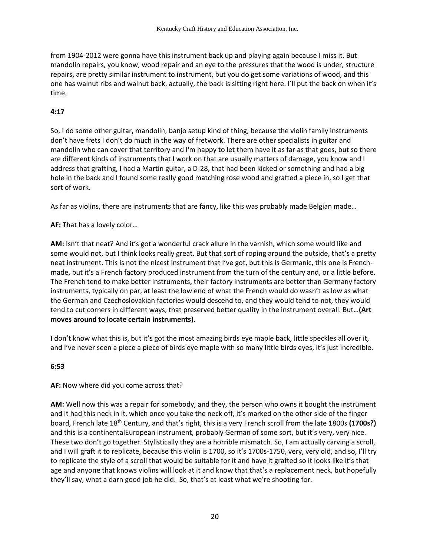from 1904-2012 were gonna have this instrument back up and playing again because I miss it. But mandolin repairs, you know, wood repair and an eye to the pressures that the wood is under, structure repairs, are pretty similar instrument to instrument, but you do get some variations of wood, and this one has walnut ribs and walnut back, actually, the back is sitting right here. I'll put the back on when it's time.

# **4:17**

So, I do some other guitar, mandolin, banjo setup kind of thing, because the violin family instruments don't have frets I don't do much in the way of fretwork. There are other specialists in guitar and mandolin who can cover that territory and I'm happy to let them have it as far as that goes, but so there are different kinds of instruments that I work on that are usually matters of damage, you know and I address that grafting, I had a Martin guitar, a D-28, that had been kicked or something and had a big hole in the back and I found some really good matching rose wood and grafted a piece in, so I get that sort of work.

As far as violins, there are instruments that are fancy, like this was probably made Belgian made…

# **AF:** That has a lovely color…

**AM:** Isn't that neat? And it's got a wonderful crack allure in the varnish, which some would like and some would not, but I think looks really great. But that sort of roping around the outside, that's a pretty neat instrument. This is not the nicest instrument that I've got, but this is Germanic, this one is Frenchmade, but it's a French factory produced instrument from the turn of the century and, or a little before. The French tend to make better instruments, their factory instruments are better than Germany factory instruments, typically on par, at least the low end of what the French would do wasn't as low as what the German and Czechoslovakian factories would descend to, and they would tend to not, they would tend to cut corners in different ways, that preserved better quality in the instrument overall. But…**(Art moves around to locate certain instruments)**.

I don't know what this is, but it's got the most amazing birds eye maple back, little speckles all over it, and I've never seen a piece a piece of birds eye maple with so many little birds eyes, it's just incredible.

#### **6:53**

#### **AF:** Now where did you come across that?

**AM:** Well now this was a repair for somebody, and they, the person who owns it bought the instrument and it had this neck in it, which once you take the neck off, it's marked on the other side of the finger board, French late 18th Century, and that's right, this is a very French scroll from the late 1800s **(1700s?)**  and this is a continentalEuropean instrument, probably German of some sort, but it's very, very nice. These two don't go together. Stylistically they are a horrible mismatch. So, I am actually carving a scroll, and I will graft it to replicate, because this violin is 1700, so it's 1700s-1750, very, very old, and so, I'll try to replicate the style of a scroll that would be suitable for it and have it grafted so it looks like it's that age and anyone that knows violins will look at it and know that that's a replacement neck, but hopefully they'll say, what a darn good job he did. So, that's at least what we're shooting for.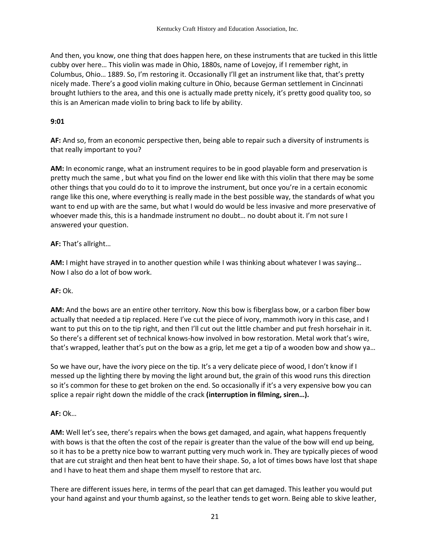And then, you know, one thing that does happen here, on these instruments that are tucked in this little cubby over here… This violin was made in Ohio, 1880s, name of Lovejoy, if I remember right, in Columbus, Ohio… 1889. So, I'm restoring it. Occasionally I'll get an instrument like that, that's pretty nicely made. There's a good violin making culture in Ohio, because German settlement in Cincinnati brought luthiers to the area, and this one is actually made pretty nicely, it's pretty good quality too, so this is an American made violin to bring back to life by ability.

## **9:01**

**AF:** And so, from an economic perspective then, being able to repair such a diversity of instruments is that really important to you?

**AM:** In economic range, what an instrument requires to be in good playable form and preservation is pretty much the same , but what you find on the lower end like with this violin that there may be some other things that you could do to it to improve the instrument, but once you're in a certain economic range like this one, where everything is really made in the best possible way, the standards of what you want to end up with are the same, but what I would do would be less invasive and more preservative of whoever made this, this is a handmade instrument no doubt… no doubt about it. I'm not sure I answered your question.

# **AF:** That's allright…

**AM:** I might have strayed in to another question while I was thinking about whatever I was saying… Now I also do a lot of bow work.

# **AF:** Ok.

**AM:** And the bows are an entire other territory. Now this bow is fiberglass bow, or a carbon fiber bow actually that needed a tip replaced. Here I've cut the piece of ivory, mammoth ivory in this case, and I want to put this on to the tip right, and then I'll cut out the little chamber and put fresh horsehair in it. So there's a different set of technical knows-how involved in bow restoration. Metal work that's wire, that's wrapped, leather that's put on the bow as a grip, let me get a tip of a wooden bow and show ya…

So we have our, have the ivory piece on the tip. It's a very delicate piece of wood, I don't know if I messed up the lighting there by moving the light around but, the grain of this wood runs this direction so it's common for these to get broken on the end. So occasionally if it's a very expensive bow you can splice a repair right down the middle of the crack **(interruption in filming, siren…).**

# **AF:** Ok…

**AM:** Well let's see, there's repairs when the bows get damaged, and again, what happens frequently with bows is that the often the cost of the repair is greater than the value of the bow will end up being, so it has to be a pretty nice bow to warrant putting very much work in. They are typically pieces of wood that are cut straight and then heat bent to have their shape. So, a lot of times bows have lost that shape and I have to heat them and shape them myself to restore that arc.

There are different issues here, in terms of the pearl that can get damaged. This leather you would put your hand against and your thumb against, so the leather tends to get worn. Being able to skive leather,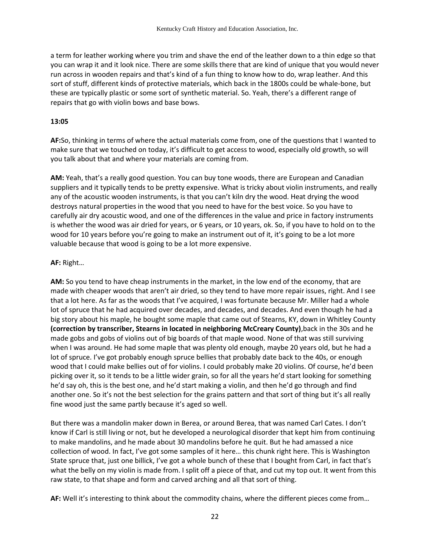a term for leather working where you trim and shave the end of the leather down to a thin edge so that you can wrap it and it look nice. There are some skills there that are kind of unique that you would never run across in wooden repairs and that's kind of a fun thing to know how to do, wrap leather. And this sort of stuff, different kinds of protective materials, which back in the 1800s could be whale-bone, but these are typically plastic or some sort of synthetic material. So. Yeah, there's a different range of repairs that go with violin bows and base bows.

#### **13:05**

**AF:**So, thinking in terms of where the actual materials come from, one of the questions that I wanted to make sure that we touched on today, it's difficult to get access to wood, especially old growth, so will you talk about that and where your materials are coming from.

**AM:** Yeah, that's a really good question. You can buy tone woods, there are European and Canadian suppliers and it typically tends to be pretty expensive. What is tricky about violin instruments, and really any of the acoustic wooden instruments, is that you can't kiln dry the wood. Heat drying the wood destroys natural properties in the wood that you need to have for the best voice. So you have to carefully air dry acoustic wood, and one of the differences in the value and price in factory instruments is whether the wood was air dried for years, or 6 years, or 10 years, ok. So, if you have to hold on to the wood for 10 years before you're going to make an instrument out of it, it's going to be a lot more valuable because that wood is going to be a lot more expensive.

#### **AF:** Right…

**AM:** So you tend to have cheap instruments in the market, in the low end of the economy, that are made with cheaper woods that aren't air dried, so they tend to have more repair issues, right. And I see that a lot here. As far as the woods that I've acquired, I was fortunate because Mr. Miller had a whole lot of spruce that he had acquired over decades, and decades, and decades. And even though he had a big story about his maple, he bought some maple that came out of Stearns, KY, down in Whitley County **(correction by transcriber, Stearns in located in neighboring McCreary County)**,back in the 30s and he made gobs and gobs of violins out of big boards of that maple wood. None of that was still surviving when I was around. He had some maple that was plenty old enough, maybe 20 years old, but he had a lot of spruce. I've got probably enough spruce bellies that probably date back to the 40s, or enough wood that I could make bellies out of for violins. I could probably make 20 violins. Of course, he'd been picking over it, so it tends to be a little wider grain, so for all the years he'd start looking for something he'd say oh, this is the best one, and he'd start making a violin, and then he'd go through and find another one. So it's not the best selection for the grains pattern and that sort of thing but it's all really fine wood just the same partly because it's aged so well.

But there was a mandolin maker down in Berea, or around Berea, that was named Carl Cates. I don't know if Carl is still living or not, but he developed a neurological disorder that kept him from continuing to make mandolins, and he made about 30 mandolins before he quit. But he had amassed a nice collection of wood. In fact, I've got some samples of it here… this chunk right here. This is Washington State spruce that, just one billick, I've got a whole bunch of these that I bought from Carl, in fact that's what the belly on my violin is made from. I split off a piece of that, and cut my top out. It went from this raw state, to that shape and form and carved arching and all that sort of thing.

**AF:** Well it's interesting to think about the commodity chains, where the different pieces come from…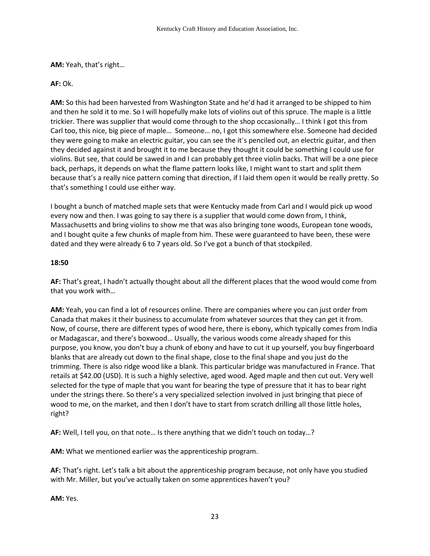**AM:** Yeah, that's right…

## **AF:** Ok.

**AM:** So this had been harvested from Washington State and he'd had it arranged to be shipped to him and then he sold it to me. So I will hopefully make lots of violins out of this spruce. The maple is a little trickier. There was supplier that would come through to the shop occasionally… I think I got this from Carl too, this nice, big piece of maple… Someone… no, I got this somewhere else. Someone had decided they were going to make an electric guitar, you can see the it's penciled out, an electric guitar, and then they decided against it and brought it to me because they thought it could be something I could use for violins. But see, that could be sawed in and I can probably get three violin backs. That will be a one piece back, perhaps, it depends on what the flame pattern looks like, I might want to start and split them because that's a really nice pattern coming that direction, if I laid them open it would be really pretty. So that's something I could use either way.

I bought a bunch of matched maple sets that were Kentucky made from Carl and I would pick up wood every now and then. I was going to say there is a supplier that would come down from, I think, Massachusetts and bring violins to show me that was also bringing tone woods, European tone woods, and I bought quite a few chunks of maple from him. These were guaranteed to have been, these were dated and they were already 6 to 7 years old. So I've got a bunch of that stockpiled.

## **18:50**

**AF:** That's great, I hadn't actually thought about all the different places that the wood would come from that you work with…

**AM:** Yeah, you can find a lot of resources online. There are companies where you can just order from Canada that makes it their business to accumulate from whatever sources that they can get it from. Now, of course, there are different types of wood here, there is ebony, which typically comes from India or Madagascar, and there's boxwood… Usually, the various woods come already shaped for this purpose, you know, you don't buy a chunk of ebony and have to cut it up yourself, you buy fingerboard blanks that are already cut down to the final shape, close to the final shape and you just do the trimming. There is also ridge wood like a blank. This particular bridge was manufactured in France. That retails at \$42.00 (USD). It is such a highly selective, aged wood. Aged maple and then cut out. Very well selected for the type of maple that you want for bearing the type of pressure that it has to bear right under the strings there. So there's a very specialized selection involved in just bringing that piece of wood to me, on the market, and then I don't have to start from scratch drilling all those little holes, right?

**AF:** Well, I tell you, on that note… Is there anything that we didn't touch on today…?

**AM:** What we mentioned earlier was the apprenticeship program.

**AF:** That's right. Let's talk a bit about the apprenticeship program because, not only have you studied with Mr. Miller, but you've actually taken on some apprentices haven't you?

**AM:** Yes.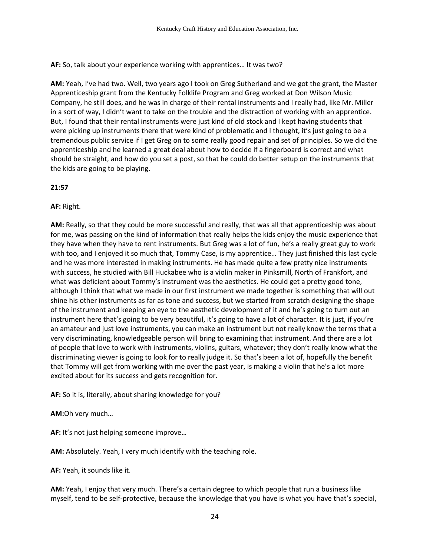**AF:** So, talk about your experience working with apprentices… It was two?

**AM:** Yeah, I've had two. Well, two years ago I took on Greg Sutherland and we got the grant, the Master Apprenticeship grant from the Kentucky Folklife Program and Greg worked at Don Wilson Music Company, he still does, and he was in charge of their rental instruments and I really had, like Mr. Miller in a sort of way, I didn't want to take on the trouble and the distraction of working with an apprentice. But, I found that their rental instruments were just kind of old stock and I kept having students that were picking up instruments there that were kind of problematic and I thought, it's just going to be a tremendous public service if I get Greg on to some really good repair and set of principles. So we did the apprenticeship and he learned a great deal about how to decide if a fingerboard is correct and what should be straight, and how do you set a post, so that he could do better setup on the instruments that the kids are going to be playing.

## **21:57**

## **AF:** Right.

**AM:** Really, so that they could be more successful and really, that was all that apprenticeship was about for me, was passing on the kind of information that really helps the kids enjoy the music experience that they have when they have to rent instruments. But Greg was a lot of fun, he's a really great guy to work with too, and I enjoyed it so much that, Tommy Case, is my apprentice… They just finished this last cycle and he was more interested in making instruments. He has made quite a few pretty nice instruments with success, he studied with Bill Huckabee who is a violin maker in Pinksmill, North of Frankfort, and what was deficient about Tommy's instrument was the aesthetics. He could get a pretty good tone, although I think that what we made in our first instrument we made together is something that will out shine his other instruments as far as tone and success, but we started from scratch designing the shape of the instrument and keeping an eye to the aesthetic development of it and he's going to turn out an instrument here that's going to be very beautiful, it's going to have a lot of character. It is just, if you're an amateur and just love instruments, you can make an instrument but not really know the terms that a very discriminating, knowledgeable person will bring to examining that instrument. And there are a lot of people that love to work with instruments, violins, guitars, whatever; they don't really know what the discriminating viewer is going to look for to really judge it. So that's been a lot of, hopefully the benefit that Tommy will get from working with me over the past year, is making a violin that he's a lot more excited about for its success and gets recognition for.

**AF:** So it is, literally, about sharing knowledge for you?

**AM:**Oh very much…

**AF:** It's not just helping someone improve…

**AM:** Absolutely. Yeah, I very much identify with the teaching role.

**AF:** Yeah, it sounds like it.

**AM:** Yeah, I enjoy that very much. There's a certain degree to which people that run a business like myself, tend to be self-protective, because the knowledge that you have is what you have that's special,